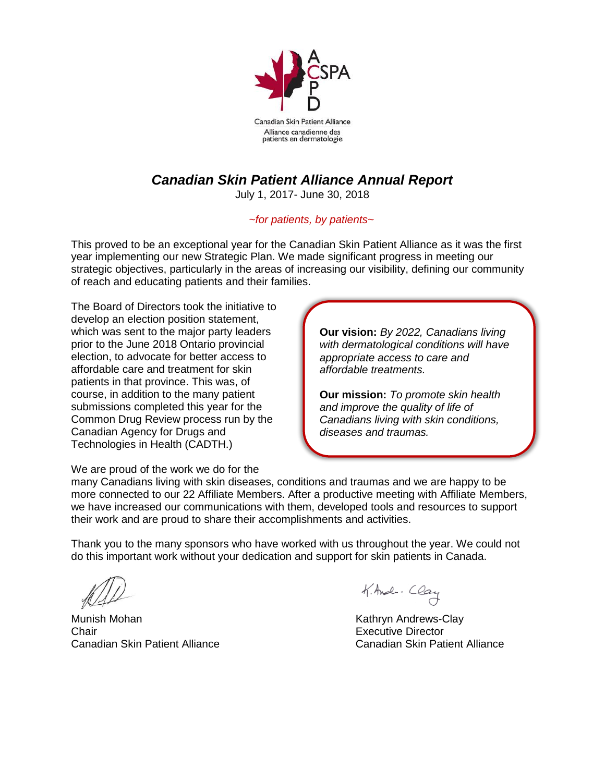

Canadian Skin Patient Alliance Alliance canadienne des patients en dermatologie

## *Canadian Skin Patient Alliance Annual Report*

July 1, 2017- June 30, 2018

## *~for patients, by patients~*

This proved to be an exceptional year for the Canadian Skin Patient Alliance as it was the first year implementing our new Strategic Plan. We made significant progress in meeting our strategic objectives, particularly in the areas of increasing our visibility, defining our community of reach and educating patients and their families.

The Board of Directors took the initiative to develop an election position statement, which was sent to the major party leaders prior to the June 2018 Ontario provincial election, to advocate for better access to affordable care and treatment for skin patients in that province. This was, of course, in addition to the many patient submissions completed this year for the Common Drug Review process run by the Canadian Agency for Drugs and Technologies in Health (CADTH.)

**Our vision:** *By 2022, Canadians living with dermatological conditions will have appropriate access to care and affordable treatments.*

**Our mission:** *To promote skin health and improve the quality of life of Canadians living with skin conditions, diseases and traumas.*

We are proud of the work we do for the

many Canadians living with skin diseases, conditions and traumas and we are happy to be more connected to our 22 Affiliate Members. After a productive meeting with Affiliate Members, we have increased our communications with them, developed tools and resources to support their work and are proud to share their accomplishments and activities.

Thank you to the many sponsors who have worked with us throughout the year. We could not do this important work without your dedication and support for skin patients in Canada.

Munish Mohan **Kathryn Andrews-Clay** Chair Executive Director Canadian Skin Patient Alliance Canadian Skin Patient Alliance

K. And - Clay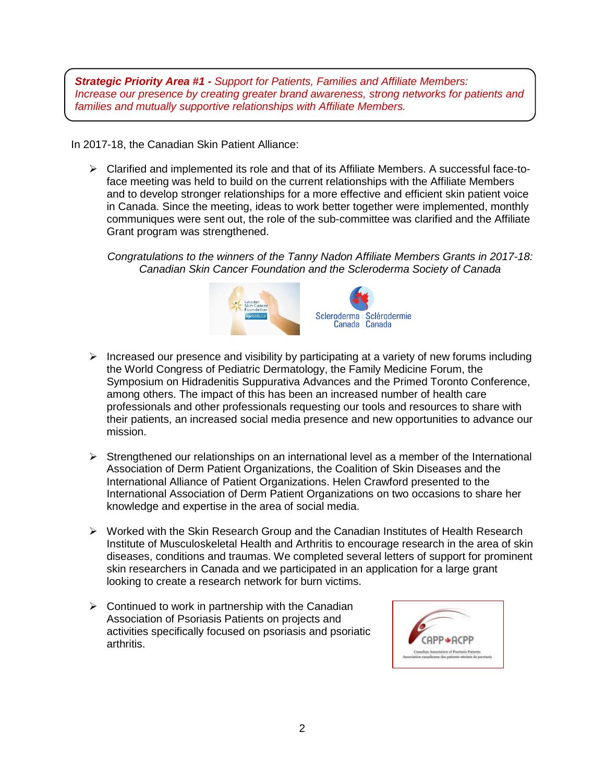*Strategic Priority Area #1 - Support for Patients, Families and Affiliate Members: Increase our presence by creating greater brand awareness, strong networks for patients and families and mutually supportive relationships with Affiliate Members.*

In 2017-18, the Canadian Skin Patient Alliance:

 $\triangleright$  Clarified and implemented its role and that of its Affiliate Members. A successful face-toface meeting was held to build on the current relationships with the Affiliate Members and to develop stronger relationships for a more effective and efficient skin patient voice in Canada. Since the meeting, ideas to work better together were implemented, monthly communiques were sent out, the role of the sub-committee was clarified and the Affiliate Grant program was strengthened.

*Congratulations to the winners of the Tanny Nadon Affiliate Members Grants in 2017-18: Canadian Skin Cancer Foundation and the Scleroderma Society of Canada*



- Increased our presence and visibility by participating at a variety of new forums including the World Congress of Pediatric Dermatology, the Family Medicine Forum, the Symposium on Hidradenitis Suppurativa Advances and the Primed Toronto Conference, among others. The impact of this has been an increased number of health care professionals and other professionals requesting our tools and resources to share with their patients, an increased social media presence and new opportunities to advance our mission.
- $\triangleright$  Strengthened our relationships on an international level as a member of the International Association of Derm Patient Organizations, the Coalition of Skin Diseases and the International Alliance of Patient Organizations. Helen Crawford presented to the International Association of Derm Patient Organizations on two occasions to share her knowledge and expertise in the area of social media.
- $\triangleright$  Worked with the Skin Research Group and the Canadian Institutes of Health Research Institute of Musculoskeletal Health and Arthritis to encourage research in the area of skin diseases, conditions and traumas. We completed several letters of support for prominent skin researchers in Canada and we participated in an application for a large grant looking to create a research network for burn victims.
- $\triangleright$  Continued to work in partnership with the Canadian Association of Psoriasis Patients on projects and activities specifically focused on psoriasis and psoriatic arthritis.

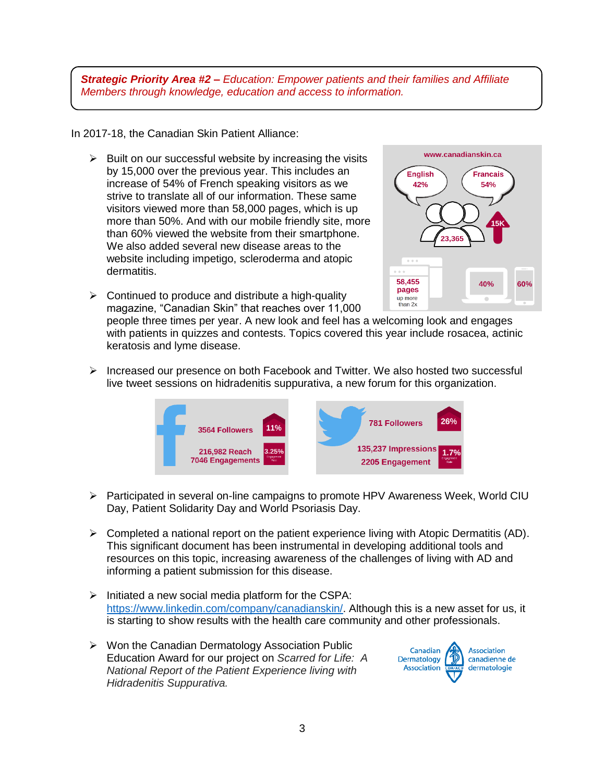*Strategic Priority Area #2 – Education: Empower patients and their families and Affiliate Members through knowledge, education and access to information.*

In 2017-18, the Canadian Skin Patient Alliance:

- $\triangleright$  Built on our successful website by increasing the visits by 15,000 over the previous year. This includes an increase of 54% of French speaking visitors as we strive to translate all of our information. These same visitors viewed more than 58,000 pages, which is up more than 50%. And with our mobile friendly site, more than 60% viewed the website from their smartphone. We also added several new disease areas to the website including impetigo, scleroderma and atopic dermatitis.
- $\triangleright$  Continued to produce and distribute a high-quality magazine, "Canadian Skin" that reaches over 11,000



people three times per year. A new look and feel has a welcoming look and engages with patients in quizzes and contests. Topics covered this year include rosacea, actinic keratosis and lyme disease.

 $\triangleright$  Increased our presence on both Facebook and Twitter. We also hosted two successful live tweet sessions on hidradenitis suppurativa, a new forum for this organization.



- Participated in several on-line campaigns to promote HPV Awareness Week, World CIU Day, Patient Solidarity Day and World Psoriasis Day.
- $\triangleright$  Completed a national report on the patient experience living with Atopic Dermatitis (AD). This significant document has been instrumental in developing additional tools and resources on this topic, increasing awareness of the challenges of living with AD and informing a patient submission for this disease.
- $\triangleright$  Initiated a new social media platform for the CSPA: [https://www.linkedin.com/company/canadianskin/.](https://www.linkedin.com/company/canadianskin/) Although this is a new asset for us, it is starting to show results with the health care community and other professionals.
- $\triangleright$  Won the Canadian Dermatology Association Public Education Award for our project on *Scarred for Life: A National Report of the Patient Experience living with Hidradenitis Suppurativa.*

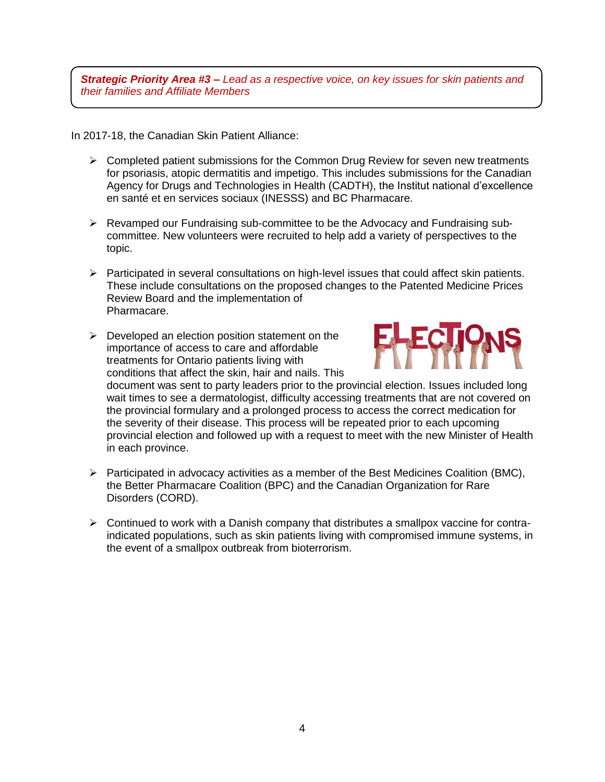*Strategic Priority Area #3 – Lead as a respective voice, on key issues for skin patients and their families and Affiliate Members*

In 2017-18, the Canadian Skin Patient Alliance:

- $\triangleright$  Completed patient submissions for the Common Drug Review for seven new treatments for psoriasis, atopic dermatitis and impetigo. This includes submissions for the Canadian Agency for Drugs and Technologies in Health (CADTH), the Institut national d'excellence en santé et en services sociaux (INESSS) and BC Pharmacare.
- Revamped our Fundraising sub-committee to be the Advocacy and Fundraising subcommittee. New volunteers were recruited to help add a variety of perspectives to the topic.
- $\triangleright$  Participated in several consultations on high-level issues that could affect skin patients. These include consultations on the proposed changes to the Patented Medicine Prices Review Board and the implementation of Pharmacare.
- $\triangleright$  Developed an election position statement on the importance of access to care and affordable treatments for Ontario patients living with conditions that affect the skin, hair and nails. This



document was sent to party leaders prior to the provincial election. Issues included long wait times to see a dermatologist, difficulty accessing treatments that are not covered on the provincial formulary and a prolonged process to access the correct medication for the severity of their disease. This process will be repeated prior to each upcoming provincial election and followed up with a request to meet with the new Minister of Health in each province.

- $\triangleright$  Participated in advocacy activities as a member of the Best Medicines Coalition (BMC), the Better Pharmacare Coalition (BPC) and the Canadian Organization for Rare Disorders (CORD).
- $\triangleright$  Continued to work with a Danish company that distributes a smallpox vaccine for contraindicated populations, such as skin patients living with compromised immune systems, in the event of a smallpox outbreak from bioterrorism.